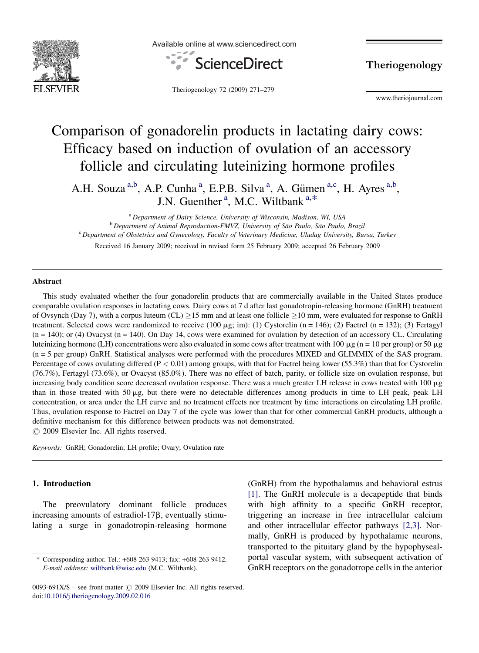

Available online at www.sciencedirect.com



Theriogenology 72 (2009) 271–279

Theriogenology

www.theriojournal.com

# Comparison of gonadorelin products in lactating dairy cows: Efficacy based on induction of ovulation of an accessory follicle and circulating luteinizing hormone profiles

A.H. Souza<sup>a,b</sup>, A.P. Cunha<sup>a</sup>, E.P.B. Silva<sup>a</sup>, A. Gümen<sup>a,c</sup>, H. Ayres<sup>a,b</sup>, J.N. Guenther<sup>a</sup>, M.C. Wiltbank<sup>a,\*</sup>

<sup>a</sup> Department of Dairy Science, University of Wisconsin, Madison, WI, USA <sup>b</sup> Department of Animal Reproduction-FMVZ, University of São Paulo, São Paulo, Brazil <sup>c</sup> Department of Obstetrics and Gynecology, Faculty of Veterinary Medicine, Uludag University, Bursa, Turkey Received 16 January 2009; received in revised form 25 February 2009; accepted 26 February 2009

#### Abstract

This study evaluated whether the four gonadorelin products that are commercially available in the United States produce comparable ovulation responses in lactating cows. Dairy cows at 7 d after last gonadotropin-releasing hormone (GnRH) treatment of Ovsynch (Day 7), with a corpus luteum (CL)  $\geq$ 15 mm and at least one follicle  $\geq$ 10 mm, were evaluated for response to GnRH treatment. Selected cows were randomized to receive (100  $\mu$ g; im): (1) Cystorelin (n = 146); (2) Factrel (n = 132); (3) Fertagyl  $(n = 140)$ ; or (4) Ovacyst  $(n = 140)$ . On Day 14, cows were examined for ovulation by detection of an accessory CL. Circulating luteinizing hormone (LH) concentrations were also evaluated in some cows after treatment with 100  $\mu$ g (n = 10 per group) or 50  $\mu$ g (n = 5 per group) GnRH. Statistical analyses were performed with the procedures MIXED and GLIMMIX of the SAS program. Percentage of cows ovulating differed (P < 0.01) among groups, with that for Factrel being lower (55.3%) than that for Cystorelin (76.7%), Fertagyl (73.6%), or Ovacyst (85.0%). There was no effect of batch, parity, or follicle size on ovulation response, but increasing body condition score decreased ovulation response. There was a much greater LH release in cows treated with 100  $\mu$ g than in those treated with 50  $\mu$ g, but there were no detectable differences among products in time to LH peak, peak LH concentration, or area under the LH curve and no treatment effects nor treatment by time interactions on circulating LH profile. Thus, ovulation response to Factrel on Day 7 of the cycle was lower than that for other commercial GnRH products, although a definitive mechanism for this difference between products was not demonstrated.  $\odot$  2009 Elsevier Inc. All rights reserved.

Keywords: GnRH; Gonadorelin; LH profile; Ovary; Ovulation rate

#### 1. Introduction

The preovulatory dominant follicle produces increasing amounts of estradiol-17 $\beta$ , eventually stimulating a surge in gonadotropin-releasing hormone

(GnRH) from the hypothalamus and behavioral estrus [\[1\].](#page-7-0) The GnRH molecule is a decapeptide that binds with high affinity to a specific GnRH receptor, triggering an increase in free intracellular calcium and other intracellular effector pathways [\[2,3\]](#page-7-0). Normally, GnRH is produced by hypothalamic neurons, transported to the pituitary gland by the hypophysealportal vascular system, with subsequent activation of GnRH receptors on the gonadotrope cells in the anterior

<sup>\*</sup> Corresponding author. Tel.: +608 263 9413; fax: +608 263 9412. E-mail address: [wiltbank@wisc.edu](mailto:wiltbank@wisc.edu) (M.C. Wiltbank).

<sup>0093-691</sup>X/\$ – see front matter  $\odot$  2009 Elsevier Inc. All rights reserved. doi[:10.1016/j.theriogenology.2009.02.016](http://dx.doi.org/10.1016/j.theriogenology.2009.02.016)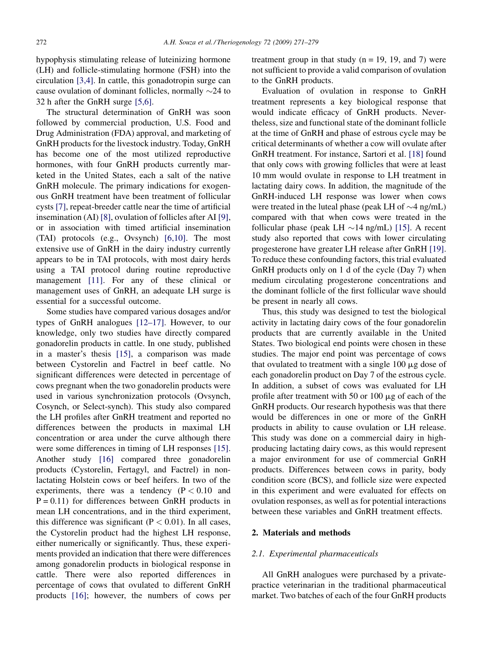hypophysis stimulating release of luteinizing hormone (LH) and follicle-stimulating hormone (FSH) into the circulation [\[3,4\]](#page-7-0). In cattle, this gonadotropin surge can cause ovulation of dominant follicles, normally  $\sim$ 24 to 32 h after the GnRH surge [\[5,6\].](#page-7-0)

The structural determination of GnRH was soon followed by commercial production, U.S. Food and Drug Administration (FDA) approval, and marketing of GnRH products for the livestock industry. Today, GnRH has become one of the most utilized reproductive hormones, with four GnRH products currently marketed in the United States, each a salt of the native GnRH molecule. The primary indications for exogenous GnRH treatment have been treatment of follicular cysts [\[7\],](#page-7-0) repeat-breeder cattle near the time of artificial insemination (AI) [\[8\],](#page-7-0) ovulation of follicles after AI [\[9\],](#page-7-0) or in association with timed artificial insemination (TAI) protocols (e.g., Ovsynch) [\[6,10\]](#page-7-0). The most extensive use of GnRH in the dairy industry currently appears to be in TAI protocols, with most dairy herds using a TAI protocol during routine reproductive management [\[11\]](#page-7-0). For any of these clinical or management uses of GnRH, an adequate LH surge is essential for a successful outcome.

Some studies have compared various dosages and/or types of GnRH analogues [\[12–17\].](#page-7-0) However, to our knowledge, only two studies have directly compared gonadorelin products in cattle. In one study, published in a master's thesis [\[15\],](#page-7-0) a comparison was made between Cystorelin and Factrel in beef cattle. No significant differences were detected in percentage of cows pregnant when the two gonadorelin products were used in various synchronization protocols (Ovsynch, Cosynch, or Select-synch). This study also compared the LH profiles after GnRH treatment and reported no differences between the products in maximal LH concentration or area under the curve although there were some differences in timing of LH responses [\[15\].](#page-7-0) Another study [\[16\]](#page-7-0) compared three gonadorelin products (Cystorelin, Fertagyl, and Factrel) in nonlactating Holstein cows or beef heifers. In two of the experiments, there was a tendency  $(P < 0.10$  and  $P = 0.11$ ) for differences between GnRH products in mean LH concentrations, and in the third experiment, this difference was significant ( $P < 0.01$ ). In all cases, the Cystorelin product had the highest LH response, either numerically or significantly. Thus, these experiments provided an indication that there were differences among gonadorelin products in biological response in cattle. There were also reported differences in percentage of cows that ovulated to different GnRH products [\[16\]](#page-7-0); however, the numbers of cows per treatment group in that study  $(n = 19, 19,$  and 7) were not sufficient to provide a valid comparison of ovulation to the GnRH products.

Evaluation of ovulation in response to GnRH treatment represents a key biological response that would indicate efficacy of GnRH products. Nevertheless, size and functional state of the dominant follicle at the time of GnRH and phase of estrous cycle may be critical determinants of whether a cow will ovulate after GnRH treatment. For instance, Sartori et al. [\[18\]](#page-8-0) found that only cows with growing follicles that were at least 10 mm would ovulate in response to LH treatment in lactating dairy cows. In addition, the magnitude of the GnRH-induced LH response was lower when cows were treated in the luteal phase (peak LH of  $\sim$ 4 ng/mL) compared with that when cows were treated in the follicular phase (peak LH  $\sim$ 14 ng/mL) [\[15\]](#page-7-0). A recent study also reported that cows with lower circulating progesterone have greater LH release after GnRH [\[19\].](#page-8-0) To reduce these confounding factors, this trial evaluated GnRH products only on 1 d of the cycle (Day 7) when medium circulating progesterone concentrations and the dominant follicle of the first follicular wave should be present in nearly all cows.

Thus, this study was designed to test the biological activity in lactating dairy cows of the four gonadorelin products that are currently available in the United States. Two biological end points were chosen in these studies. The major end point was percentage of cows that ovulated to treatment with a single  $100 \mu$ g dose of each gonadorelin product on Day 7 of the estrous cycle. In addition, a subset of cows was evaluated for LH profile after treatment with 50 or 100  $\mu$ g of each of the GnRH products. Our research hypothesis was that there would be differences in one or more of the GnRH products in ability to cause ovulation or LH release. This study was done on a commercial dairy in highproducing lactating dairy cows, as this would represent a major environment for use of commercial GnRH products. Differences between cows in parity, body condition score (BCS), and follicle size were expected in this experiment and were evaluated for effects on ovulation responses, as well as for potential interactions between these variables and GnRH treatment effects.

# 2. Materials and methods

# 2.1. Experimental pharmaceuticals

All GnRH analogues were purchased by a privatepractice veterinarian in the traditional pharmaceutical market. Two batches of each of the four GnRH products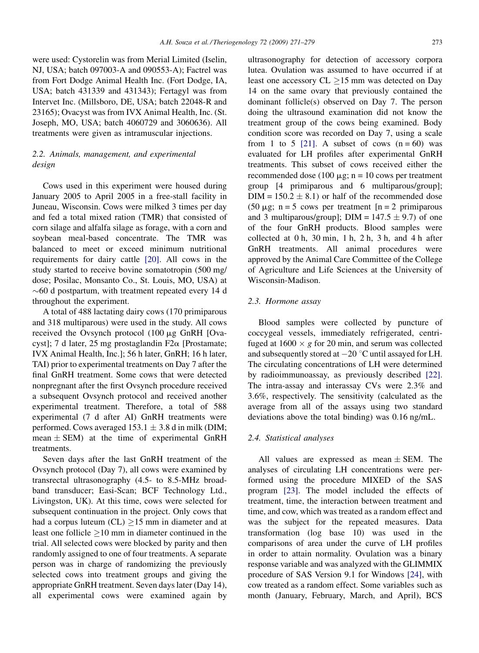were used: Cystorelin was from Merial Limited (Iselin, NJ, USA; batch 097003-A and 090553-A); Factrel was from Fort Dodge Animal Health Inc. (Fort Dodge, IA, USA; batch 431339 and 431343); Fertagyl was from Intervet Inc. (Millsboro, DE, USA; batch 22048-R and 23165); Ovacyst was from IVX Animal Health, Inc. (St. Joseph, MO, USA; batch 4060729 and 3060636). All treatments were given as intramuscular injections.

# 2.2. Animals, management, and experimental design

Cows used in this experiment were housed during January 2005 to April 2005 in a free-stall facility in Juneau, Wisconsin. Cows were milked 3 times per day and fed a total mixed ration (TMR) that consisted of corn silage and alfalfa silage as forage, with a corn and soybean meal-based concentrate. The TMR was balanced to meet or exceed minimum nutritional requirements for dairy cattle [\[20\]](#page-8-0). All cows in the study started to receive bovine somatotropin (500 mg/ dose; Posilac, Monsanto Co., St. Louis, MO, USA) at  $\sim$  60 d postpartum, with treatment repeated every 14 d throughout the experiment.

A total of 488 lactating dairy cows (170 primiparous and 318 multiparous) were used in the study. All cows received the Ovsynch protocol (100 mg GnRH [Ovacyst]; 7 d later, 25 mg prostaglandin F2 $\alpha$  [Prostamate; IVX Animal Health, Inc.]; 56 h later, GnRH; 16 h later, TAI) prior to experimental treatments on Day 7 after the final GnRH treatment. Some cows that were detected nonpregnant after the first Ovsynch procedure received a subsequent Ovsynch protocol and received another experimental treatment. Therefore, a total of 588 experimental (7 d after AI) GnRH treatments were performed. Cows averaged  $153.1 \pm 3.8$  d in milk (DIM; mean  $\pm$  SEM) at the time of experimental GnRH treatments.

Seven days after the last GnRH treatment of the Ovsynch protocol (Day 7), all cows were examined by transrectal ultrasonography (4.5- to 8.5-MHz broadband transducer; Easi-Scan; BCF Technology Ltd., Livingston, UK). At this time, cows were selected for subsequent continuation in the project. Only cows that had a corpus luteum  $(CL) \ge 15$  mm in diameter and at least one follicle  $\geq 10$  mm in diameter continued in the trial. All selected cows were blocked by parity and then randomly assigned to one of four treatments. A separate person was in charge of randomizing the previously selected cows into treatment groups and giving the appropriate GnRH treatment. Seven days later (Day 14), all experimental cows were examined again by

ultrasonography for detection of accessory corpora lutea. Ovulation was assumed to have occurred if at least one accessory  $CL \ge 15$  mm was detected on Day 14 on the same ovary that previously contained the dominant follicle(s) observed on Day 7. The person doing the ultrasound examination did not know the treatment group of the cows being examined. Body condition score was recorded on Day 7, using a scale from 1 to 5 [\[21\]](#page-8-0). A subset of cows  $(n = 60)$  was evaluated for LH profiles after experimental GnRH treatments. This subset of cows received either the recommended dose (100  $\mu$ g; n = 10 cows per treatment group [4 primiparous and 6 multiparous/group];  $DIM = 150.2 \pm 8.1$  or half of the recommended dose (50  $\mu$ g; n = 5 cows per treatment [n = 2 primiparous] and 3 multiparous/group]; DIM =  $147.5 \pm 9.7$ ) of one of the four GnRH products. Blood samples were collected at  $0 h$ ,  $30 min$ ,  $1 h$ ,  $2 h$ ,  $3 h$ , and  $4 h$  after GnRH treatments. All animal procedures were approved by the Animal Care Committee of the College of Agriculture and Life Sciences at the University of Wisconsin-Madison.

#### 2.3. Hormone assay

Blood samples were collected by puncture of coccygeal vessels, immediately refrigerated, centrifuged at  $1600 \times g$  for 20 min, and serum was collected and subsequently stored at  $-20$  °C until assayed for LH. The circulating concentrations of LH were determined by radioimmunoassay, as previously described [\[22\].](#page-8-0) The intra-assay and interassay CVs were 2.3% and 3.6%, respectively. The sensitivity (calculated as the average from all of the assays using two standard deviations above the total binding) was 0.16 ng/mL.

#### 2.4. Statistical analyses

All values are expressed as mean  $\pm$  SEM. The analyses of circulating LH concentrations were performed using the procedure MIXED of the SAS program [\[23\]](#page-8-0). The model included the effects of treatment, time, the interaction between treatment and time, and cow, which was treated as a random effect and was the subject for the repeated measures. Data transformation (log base 10) was used in the comparisons of area under the curve of LH profiles in order to attain normality. Ovulation was a binary response variable and was analyzed with the GLIMMIX procedure of SAS Version 9.1 for Windows [\[24\],](#page-8-0) with cow treated as a random effect. Some variables such as month (January, February, March, and April), BCS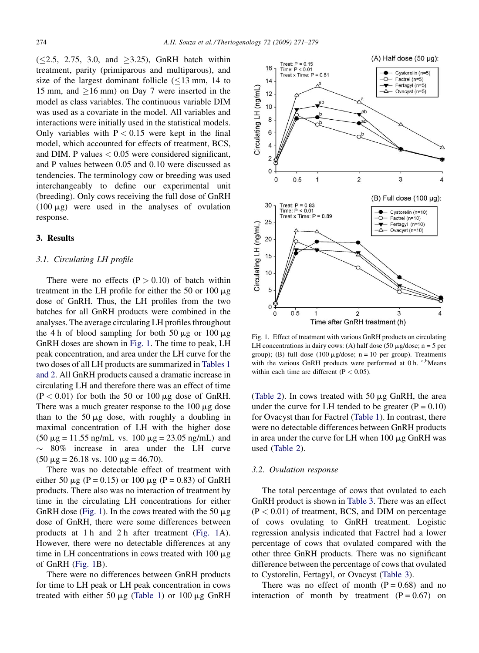$(\leq 2.5, 2.75, 3.0, \text{ and } \geq 3.25)$ , GnRH batch within treatment, parity (primiparous and multiparous), and size of the largest dominant follicle  $\leq 13$  mm, 14 to 15 mm, and  $\geq$ 16 mm) on Day 7 were inserted in the model as class variables. The continuous variable DIM was used as a covariate in the model. All variables and interactions were initially used in the statistical models. Only variables with  $P < 0.15$  were kept in the final model, which accounted for effects of treatment, BCS, and DIM. P values  $< 0.05$  were considered significant, and P values between 0.05 and 0.10 were discussed as tendencies. The terminology cow or breeding was used interchangeably to define our experimental unit (breeding). Only cows receiving the full dose of GnRH  $(100 \mu g)$  were used in the analyses of ovulation response.

# 3. Results

# 3.1. Circulating LH profile

There were no effects  $(P > 0.10)$  of batch within treatment in the LH profile for either the 50 or 100  $\mu$ g dose of GnRH. Thus, the LH profiles from the two batches for all GnRH products were combined in the analyses. The average circulating LH profiles throughout the 4 h of blood sampling for both 50  $\mu$ g or 100  $\mu$ g GnRH doses are shown in Fig. 1. The time to peak, LH peak concentration, and area under the LH curve for the two doses of all LH products are summarized in [Tables 1](#page-4-0) [and 2.](#page-4-0) All GnRH products caused a dramatic increase in circulating LH and therefore there was an effect of time  $(P < 0.01)$  for both the 50 or 100  $\mu$ g dose of GnRH. There was a much greater response to the  $100 \mu$ g dose than to the  $50 \mu g$  dose, with roughly a doubling in maximal concentration of LH with the higher dose  $(50 \mu g = 11.55 \text{ ng/mL} \text{ vs. } 100 \mu g = 23.05 \text{ ng/mL} \text{ and}$  $\sim$  80% increase in area under the LH curve  $(50 \mu g = 26.18 \text{ vs. } 100 \mu g = 46.70).$ 

There was no detectable effect of treatment with either 50  $\mu$ g (P = 0.15) or 100  $\mu$ g (P = 0.83) of GnRH products. There also was no interaction of treatment by time in the circulating LH concentrations for either GnRH dose (Fig. 1). In the cows treated with the 50  $\mu$ g dose of GnRH, there were some differences between products at 1 h and 2 h after treatment (Fig. 1A). However, there were no detectable differences at any time in LH concentrations in cows treated with  $100 \mu g$ of GnRH (Fig. 1B).

There were no differences between GnRH products for time to LH peak or LH peak concentration in cows treated with either 50  $\mu$ g ([Table 1\)](#page-4-0) or 100  $\mu$ g GnRH



Fig. 1. Effect of treatment with various GnRH products on circulating LH concentrations in dairy cows: (A) half dose (50  $\mu$ g/dose; n = 5 per group); (B) full dose (100  $\mu$ g/dose; n = 10 per group). Treatments with the various GnRH products were performed at  $0 h$ . a,bMeans within each time are different  $(P < 0.05)$ .

([Table 2\)](#page-4-0). In cows treated with 50  $\mu$ g GnRH, the area under the curve for LH tended to be greater  $(P = 0.10)$ for Ovacyst than for Factrel [\(Table 1\)](#page-4-0). In contrast, there were no detectable differences between GnRH products in area under the curve for LH when  $100 \mu g$  GnRH was used [\(Table 2\)](#page-4-0).

#### 3.2. Ovulation response

The total percentage of cows that ovulated to each GnRH product is shown in [Table 3.](#page-4-0) There was an effect  $(P < 0.01)$  of treatment, BCS, and DIM on percentage of cows ovulating to GnRH treatment. Logistic regression analysis indicated that Factrel had a lower percentage of cows that ovulated compared with the other three GnRH products. There was no significant difference between the percentage of cows that ovulated to Cystorelin, Fertagyl, or Ovacyst ([Table 3](#page-4-0)).

There was no effect of month  $(P = 0.68)$  and no interaction of month by treatment  $(P = 0.67)$  on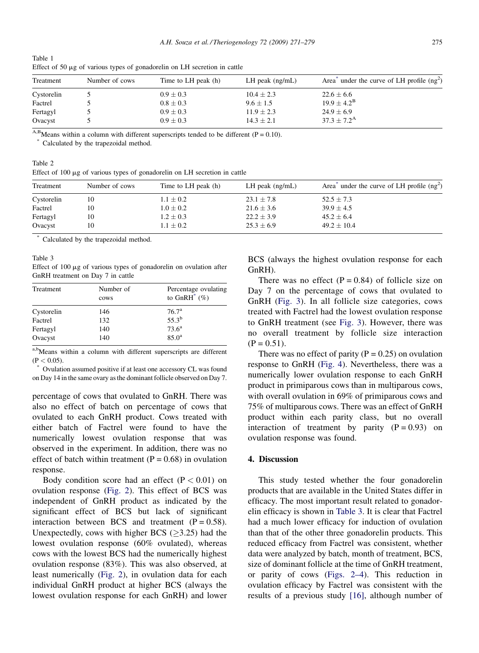<span id="page-4-0"></span>

| Table 1                                                                        |  |  |
|--------------------------------------------------------------------------------|--|--|
| Effect of 50 $\mu$ g of various types of gonadorelin on LH secretion in cattle |  |  |

| Treatment  | Number of cows | Time to LH peak (h) | LH peak $(ng/mL)$ | Area <sup>*</sup> under the curve of LH profile $(ng2)$ |
|------------|----------------|---------------------|-------------------|---------------------------------------------------------|
| Cystorelin |                | $0.9 \pm 0.3$       | $10.4 \pm 2.3$    | $22.6 \pm 6.6$                                          |
| Factrel    |                | $0.8 \pm 0.3$       | $9.6 \pm 1.5$     | $19.9 \pm 4.2^{\rm B}$                                  |
| Fertagyl   |                | $0.9 \pm 0.3$       | $11.9 \pm 2.3$    | $24.9 \pm 6.9$                                          |
| Ovacyst    |                | $0.9 \pm 0.3$       | $14.3 \pm 2.1$    | $37.3 \pm 7.2^{\rm A}$                                  |

<sup>A,B</sup>Means within a column with different superscripts tended to be different (P = 0.10).

Calculated by the trapezoidal method.

Table 2 Effect of  $100 \mu$ g of various types of gonadorelin on LH secretion in cattle

| Treatment  | Number of cows | Time to LH peak (h) | LH peak $(ng/mL)$ | Area <sup><math>\pi</math></sup> under the curve of LH profile (ng <sup>2</sup> ) |
|------------|----------------|---------------------|-------------------|-----------------------------------------------------------------------------------|
| Cystorelin |                | $1.1 \pm 0.2$       | $23.1 \pm 7.8$    | $52.5 \pm 7.3$                                                                    |
| Factrel    |                | $1.0 \pm 0.2$       | $21.6 \pm 3.6$    | $39.9 \pm 4.5$                                                                    |
| Fertagyl   |                | $1.2 \pm 0.3$       | $22.2 \pm 3.9$    | $45.2 \pm 6.4$                                                                    |
| Ovacyst    |                | $1.1 \pm 0.2$       | $25.3 \pm 6.9$    | $49.2 \pm 10.4$                                                                   |

Calculated by the trapezoidal method.

#### Table 3

Effect of 100 µg of various types of gonadorelin on ovulation after GnRH treatment on Day 7 in cattle

| Treatment  | Number of<br>cows | Percentage ovulating<br>to $GnRH^*$ (%) |
|------------|-------------------|-----------------------------------------|
| Cystorelin | 146               | 76.7 <sup>a</sup>                       |
| Factrel    | 132               | $55.3^{b}$                              |
| Fertagyl   | 140               | 73.6 <sup>a</sup>                       |
| Ovacyst    | 140               | 85.0 <sup>a</sup>                       |

a,b<sub>Means</sub> within a column with different superscripts are different  $(P < 0.05)$ .

Ovulation assumed positive if at least one accessory CL was found on Day 14 in the same ovary as the dominant follicle observed on Day 7.

percentage of cows that ovulated to GnRH. There was also no effect of batch on percentage of cows that ovulated to each GnRH product. Cows treated with either batch of Factrel were found to have the numerically lowest ovulation response that was observed in the experiment. In addition, there was no effect of batch within treatment  $(P = 0.68)$  in ovulation response.

Body condition score had an effect  $(P < 0.01)$  on ovulation response ([Fig. 2\)](#page-5-0). This effect of BCS was independent of GnRH product as indicated by the significant effect of BCS but lack of significant interaction between BCS and treatment  $(P = 0.58)$ . Unexpectedly, cows with higher BCS  $(\geq 3.25)$  had the lowest ovulation response (60% ovulated), whereas cows with the lowest BCS had the numerically highest ovulation response (83%). This was also observed, at least numerically ([Fig. 2\)](#page-5-0), in ovulation data for each individual GnRH product at higher BCS (always the lowest ovulation response for each GnRH) and lower

BCS (always the highest ovulation response for each GnRH).

There was no effect  $(P = 0.84)$  of follicle size on Day 7 on the percentage of cows that ovulated to GnRH [\(Fig. 3\)](#page-5-0). In all follicle size categories, cows treated with Factrel had the lowest ovulation response to GnRH treatment (see [Fig. 3](#page-5-0)). However, there was no overall treatment by follicle size interaction  $(P = 0.51)$ .

There was no effect of parity  $(P = 0.25)$  on ovulation response to GnRH ([Fig. 4](#page-6-0)). Nevertheless, there was a numerically lower ovulation response to each GnRH product in primiparous cows than in multiparous cows, with overall ovulation in 69% of primiparous cows and 75% of multiparous cows. There was an effect of GnRH product within each parity class, but no overall interaction of treatment by parity  $(P = 0.93)$  on ovulation response was found.

#### 4. Discussion

This study tested whether the four gonadorelin products that are available in the United States differ in efficacy. The most important result related to gonadorelin efficacy is shown in Table 3. It is clear that Factrel had a much lower efficacy for induction of ovulation than that of the other three gonadorelin products. This reduced efficacy from Factrel was consistent, whether data were analyzed by batch, month of treatment, BCS, size of dominant follicle at the time of GnRH treatment, or parity of cows [\(Figs. 2–4\)](#page-5-0). This reduction in ovulation efficacy by Factrel was consistent with the results of a previous study [\[16\]](#page-7-0), although number of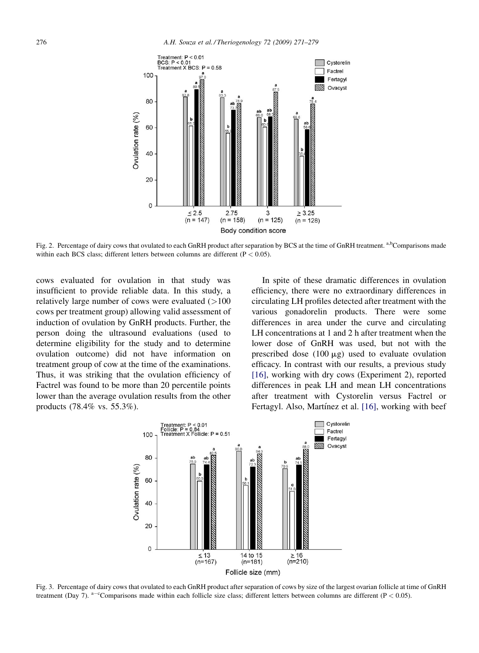<span id="page-5-0"></span>

Fig. 2. Percentage of dairy cows that ovulated to each GnRH product after separation by BCS at the time of GnRH treatment. a,bComparisons made within each BCS class; different letters between columns are different ( $P < 0.05$ ).

cows evaluated for ovulation in that study was insufficient to provide reliable data. In this study, a relatively large number of cows were evaluated  $(>100$ cows per treatment group) allowing valid assessment of induction of ovulation by GnRH products. Further, the person doing the ultrasound evaluations (used to determine eligibility for the study and to determine ovulation outcome) did not have information on treatment group of cow at the time of the examinations. Thus, it was striking that the ovulation efficiency of Factrel was found to be more than 20 percentile points lower than the average ovulation results from the other products (78.4% vs. 55.3%).

In spite of these dramatic differences in ovulation efficiency, there were no extraordinary differences in circulating LH profiles detected after treatment with the various gonadorelin products. There were some differences in area under the curve and circulating LH concentrations at 1 and 2 h after treatment when the lower dose of GnRH was used, but not with the prescribed dose  $(100 \mu g)$  used to evaluate ovulation efficacy. In contrast with our results, a previous study [\[16\],](#page-7-0) working with dry cows (Experiment 2), reported differences in peak LH and mean LH concentrations after treatment with Cystorelin versus Factrel or Fertagyl. Also, Martínez et al. [\[16\],](#page-7-0) working with beef



Fig. 3. Percentage of dairy cows that ovulated to each GnRH product after separation of cows by size of the largest ovarian follicle at time of GnRH treatment (Day 7).  $a-c$ Comparisons made within each follicle size class; different letters between columns are different (P < 0.05).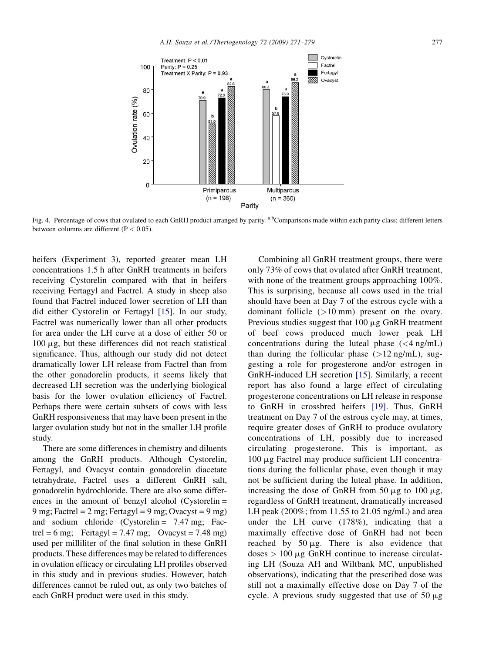<span id="page-6-0"></span>

Fig. 4. Percentage of cows that ovulated to each GnRH product arranged by parity. <sup>a,b</sup>Comparisons made within each parity class; different letters between columns are different ( $P < 0.05$ ).

heifers (Experiment 3), reported greater mean LH concentrations 1.5 h after GnRH treatments in heifers receiving Cystorelin compared with that in heifers receiving Fertagyl and Factrel. A study in sheep also found that Factrel induced lower secretion of LH than did either Cystorelin or Fertagyl [\[15\]](#page-7-0). In our study, Factrel was numerically lower than all other products for area under the LH curve at a dose of either 50 or 100 mg, but these differences did not reach statistical significance. Thus, although our study did not detect dramatically lower LH release from Factrel than from the other gonadorelin products, it seems likely that decreased LH secretion was the underlying biological basis for the lower ovulation efficiency of Factrel. Perhaps there were certain subsets of cows with less GnRH responsiveness that may have been present in the larger ovulation study but not in the smaller LH profile study.

There are some differences in chemistry and diluents among the GnRH products. Although Cystorelin, Fertagyl, and Ovacyst contain gonadorelin diacetate tetrahydrate, Factrel uses a different GnRH salt, gonadorelin hydrochloride. There are also some differences in the amount of benzyl alcohol (Cystorelin = 9 mg; Factrel = 2 mg; Fertagyl = 9 mg; Ovacyst = 9 mg) and sodium chloride (Cystorelin = 7.47 mg; Factrel = 6 mg; Fertagyl = 7.47 mg; Ovacyst = 7.48 mg) used per milliliter of the final solution in these GnRH products. These differences may be related to differences in ovulation efficacy or circulating LH profiles observed in this study and in previous studies. However, batch differences cannot be ruled out, as only two batches of each GnRH product were used in this study.

Combining all GnRH treatment groups, there were only 73% of cows that ovulated after GnRH treatment, with none of the treatment groups approaching  $100\%$ . This is surprising, because all cows used in the trial should have been at Day 7 of the estrous cycle with a dominant follicle (>10 mm) present on the ovary. Previous studies suggest that  $100 \mu$ g GnRH treatment of beef cows produced much lower peak LH concentrations during the luteal phase  $(<4 \text{ ng/mL})$ than during the follicular phase  $(>12 \text{ ng/mL})$ , suggesting a role for progesterone and/or estrogen in GnRH-induced LH secretion [\[15\]](#page-7-0). Similarly, a recent report has also found a large effect of circulating progesterone concentrations on LH release in response to GnRH in crossbred heifers [\[19\]](#page-8-0). Thus, GnRH treatment on Day 7 of the estrous cycle may, at times, require greater doses of GnRH to produce ovulatory concentrations of LH, possibly due to increased circulating progesterone. This is important, as 100 mg Factrel may produce sufficient LH concentrations during the follicular phase, even though it may not be sufficient during the luteal phase. In addition, increasing the dose of GnRH from 50  $\mu$ g to 100  $\mu$ g, regardless of GnRH treatment, dramatically increased LH peak (200%; from 11.55 to 21.05 ng/mL) and area under the LH curve (178%), indicating that a maximally effective dose of GnRH had not been reached by  $50 \mu g$ . There is also evidence that  $doses > 100 \mu g$  GnRH continue to increase circulating LH (Souza AH and Wiltbank MC, unpublished observations), indicating that the prescribed dose was still not a maximally effective dose on Day 7 of the cycle. A previous study suggested that use of  $50 \mu g$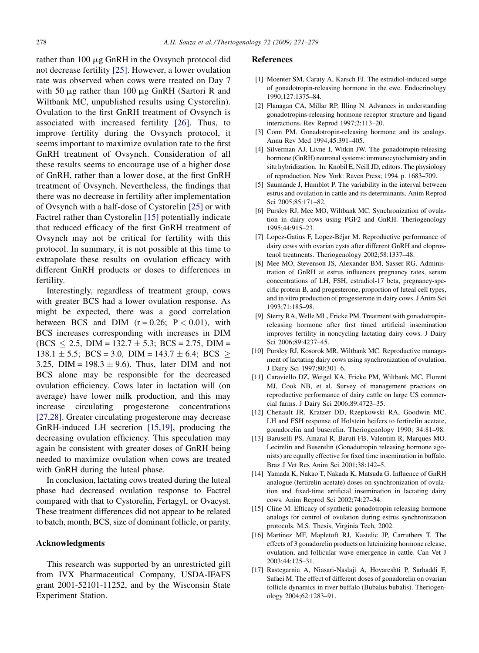<span id="page-7-0"></span>rather than  $100 \mu g$  GnRH in the Ovsynch protocol did not decrease fertility [\[25\].](#page-8-0) However, a lower ovulation rate was observed when cows were treated on Day 7 with 50  $\mu$ g rather than 100  $\mu$ g GnRH (Sartori R and Wiltbank MC, unpublished results using Cystorelin). Ovulation to the first GnRH treatment of Ovsynch is associated with increased fertility [\[26\]](#page-8-0). Thus, to improve fertility during the Ovsynch protocol, it seems important to maximize ovulation rate to the first GnRH treatment of Ovsynch. Consideration of all these results seems to encourage use of a higher dose of GnRH, rather than a lower dose, at the first GnRH treatment of Ovsynch. Nevertheless, the findings that there was no decrease in fertility after implementation of Ovsynch with a half-dose of Cystorelin [\[25\]](#page-8-0) or with Factrel rather than Cystorelin [15] potentially indicate that reduced efficacy of the first GnRH treatment of Ovsynch may not be critical for fertility with this protocol. In summary, it is not possible at this time to extrapolate these results on ovulation efficacy with different GnRH products or doses to differences in fertility.

Interestingly, regardless of treatment group, cows with greater BCS had a lower ovulation response. As might be expected, there was a good correlation between BCS and DIM  $(r = 0.26; P < 0.01)$ , with BCS increases corresponding with increases in DIM  $(BCS < 2.5, DIM = 132.7 \pm 5.3; BCS = 2.75, DIM =$  $138.1 \pm 5.5$ ; BCS = 3.0, DIM = 143.7  $\pm$  6.4; BCS  $\ge$ 3.25,  $\text{DIM} = 198.3 \pm 9.6$ . Thus, later DIM and not BCS alone may be responsible for the decreased ovulation efficiency. Cows later in lactation will (on average) have lower milk production, and this may increase circulating progesterone concentrations [\[27,28\]](#page-8-0). Greater circulating progesterone may decrease GnRH-induced LH secretion [15,19], producing the decreasing ovulation efficiency. This speculation may again be consistent with greater doses of GnRH being needed to maximize ovulation when cows are treated with GnRH during the luteal phase.

In conclusion, lactating cows treated during the luteal phase had decreased ovulation response to Factrel compared with that to Cystorelin, Fertagyl, or Ovacyst. These treatment differences did not appear to be related to batch, month, BCS, size of dominant follicle, or parity.

#### Acknowledgments

This research was supported by an unrestricted gift from IVX Pharmaceutical Company, USDA-IFAFS grant 2001-52101-11252, and by the Wisconsin State Experiment Station.

#### References

- [1] Moenter SM, Caraty A, Karsch FJ. The estradiol-induced surge of gonadotropin-releasing hormone in the ewe. Endocrinology 1990;127:1375–84.
- [2] Flanagan CA, Millar RP, Illing N. Advances in understanding gonadotropins-releasing hormone receptor structure and ligand interactions. Rev Reprod 1997;2:113–20.
- [3] Conn PM. Gonadotropin-releasing hormone and its analogs. Annu Rev Med 1994;45:391–405.
- [4] Silverman AJ, Livne I, Witkin JW. The gonadotropin-releasing hormone (GnRH) neuronal systems: immunocytochemistry and in situ hybridization. In: Knobil E, Neill JD, editors. The physiology of reproduction. New York: Raven Press; 1994. p. 1683–709.
- [5] Saumande J, Humblot P. The variability in the interval between estrus and ovulation in cattle and its determinants. Anim Reprod Sci 2005;85:171–82.
- [6] Pursley RJ, Mee MO, Wiltbank MC. Synchronization of ovulation in dairy cows using PGF2 and GnRH. Theriogenology 1995;44:915–23.
- [7] Lopez-Gatius F, Lopez-Béjar M. Reproductive performance of dairy cows with ovarian cysts after different GnRH and cloprostenol treatments. Theriogenology 2002;58:1337–48.
- [8] Mee MO, Stevenson JS, Alexander BM, Sasser RG. Administration of GnRH at estrus influences pregnancy rates, serum concentrations of LH, FSH, estradiol-17 beta, pregnancy-specific protein B, and progesterone, proportion of luteal cell types, and in vitro production of progesterone in dairy cows. J Anim Sci 1993;71:185–98.
- [9] Sterry RA, Welle ML, Fricke PM. Treatment with gonadotropinreleasing hormone after first timed artificial insemination improves fertility in noncycling lactating dairy cows. J Dairy Sci 2006;89:4237–45.
- [10] Pursley RJ, Kosorok MR, Wiltbank MC. Reproductive management of lactating dairy cows using synchronization of ovulation. J Dairy Sci 1997;80:301–6.
- [11] Caraviello DZ, Weigel KA, Fricke PM, Wiltbank MC, Florent MJ, Cook NB, et al. Survey of management practices on reproductive performance of dairy cattle on large US commercial farms. J Dairy Sci 2006;89:4723–35.
- [12] Chenault JR, Kratzer DD, Rzepkowski RA, Goodwin MC. LH and FSH response of Holstein heifers to fertirelin acetate, gonadorelin and buserelin. Theriogenology 1990; 34:81–98.
- [13] Baruselli PS, Amaral R, Barufi FB, Valentim R, Marques MO. Lecirelin and Buserelin (Gonadotropin releasing hormone agonists) are equally effective for fixed time insemination in buffalo. Braz J Vet Res Anim Sci 2001;38:142–5.
- [14] Yamada K, Nakao T, Nakada K, Matsuda G. Influence of GnRH analogue (fertirelin acetate) doses on synchronization of ovulation and fixed-time artificial insemination in lactating dairy cows. Anim Reprod Sci 2002;74:27–34.
- [15] Cline M. Efficacy of synthetic gonadotropin releasing hormone analogs for control of ovulation during estrus synchronization protocols. M.S. Thesis, Virginia Tech, 2002.
- [16] Martínez MF, Mapletoft RJ, Kastelic JP, Carruthers T. The effects of 3 gonadorelin products on luteinizing hormone release, ovulation, and follicular wave emergence in cattle. Can Vet J 2003;44:125–31.
- [17] Rastegarnia A, Niasari-Naslaji A, Hovareshti P, Sarhaddi F, Safaei M. The effect of different doses of gonadorelin on ovarian follicle dynamics in river buffalo (Bubalus bubalis). Theriogenology 2004;62:1283–91.